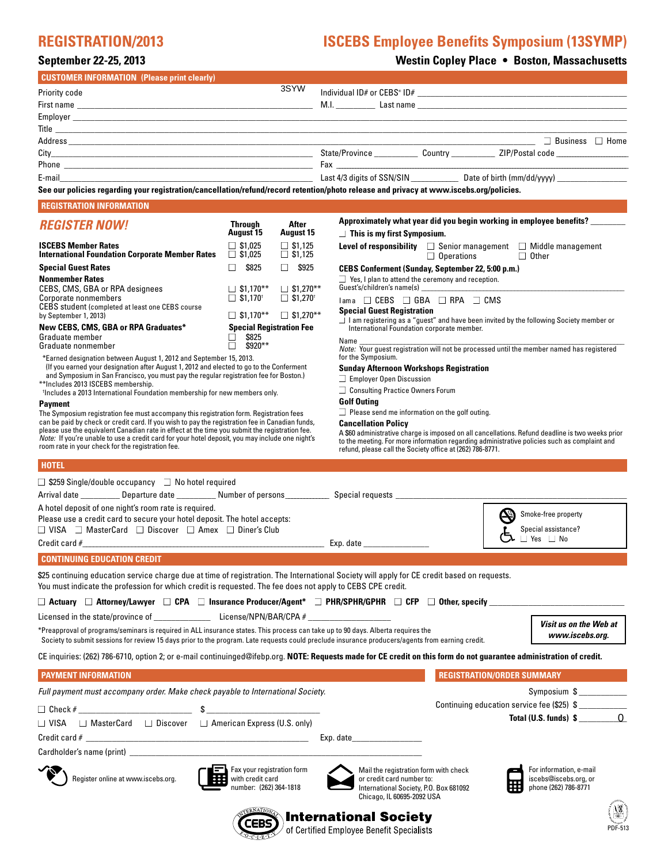# **REGISTRATION/2013 ISCEBS Employee Benefits Symposium (13SYMP)**

# **September 22-25, 2013 Westin Copley Place • Boston, Massachusetts**

| <b>CUSTOMER INFORMATION (Please print clearly)</b>                                                                                                                                                                                                                                   |                                                                             |                                                                                                                                                                                                                                      |
|--------------------------------------------------------------------------------------------------------------------------------------------------------------------------------------------------------------------------------------------------------------------------------------|-----------------------------------------------------------------------------|--------------------------------------------------------------------------------------------------------------------------------------------------------------------------------------------------------------------------------------|
| <b>Priority code</b>                                                                                                                                                                                                                                                                 | 3SYW                                                                        |                                                                                                                                                                                                                                      |
|                                                                                                                                                                                                                                                                                      |                                                                             |                                                                                                                                                                                                                                      |
|                                                                                                                                                                                                                                                                                      |                                                                             |                                                                                                                                                                                                                                      |
|                                                                                                                                                                                                                                                                                      |                                                                             | Title <b>that is a structure of the contract of the contract of the contract of the contract of the contract of the contract of the contract of the contract of the contract of the contract of the contract of the contract of </b> |
|                                                                                                                                                                                                                                                                                      |                                                                             |                                                                                                                                                                                                                                      |
|                                                                                                                                                                                                                                                                                      |                                                                             |                                                                                                                                                                                                                                      |
| E-mail and the contract of the contract of the contract of the contract of the contract of the contract of the                                                                                                                                                                       |                                                                             |                                                                                                                                                                                                                                      |
|                                                                                                                                                                                                                                                                                      |                                                                             | See our policies regarding your registration/cancellation/refund/record retention/photo release and privacy at www.iscebs.org/policies.                                                                                              |
| <b>REGISTRATION INFORMATION</b>                                                                                                                                                                                                                                                      |                                                                             |                                                                                                                                                                                                                                      |
| <b>REGISTER NOW!</b>                                                                                                                                                                                                                                                                 | <b>Through</b><br>After                                                     | Approximately what year did you begin working in employee benefits? _______                                                                                                                                                          |
| <b>ISCEBS Member Rates</b>                                                                                                                                                                                                                                                           | <b>August 15</b><br><b>August 15</b><br>$\Box$ \$1,025<br>$\square$ \$1,125 | $\Box$ This is my first Symposium.<br>Level of responsibility $\Box$ Senior management $\Box$ Middle management                                                                                                                      |
| <b>International Foundation Corporate Member Rates</b>                                                                                                                                                                                                                               | $\Box$ \$1,025<br>$\Box$ \$1,125                                            | $\Box$ Operations<br>$\Box$ Other                                                                                                                                                                                                    |
| <b>Special Guest Rates</b>                                                                                                                                                                                                                                                           | \$825<br>$\Box$ \$925<br>П.                                                 | CEBS Conferment (Sunday, September 22, 5:00 p.m.)                                                                                                                                                                                    |
| <b>Nonmember Rates</b><br>CEBS, CMS, GBA or RPA designees                                                                                                                                                                                                                            | $\Box$ \$1,170**<br>$\Box$ \$1,270**                                        | $\Box$ Yes, I plan to attend the ceremony and reception.                                                                                                                                                                             |
| Corporate nonmembers                                                                                                                                                                                                                                                                 | $\Box$ \$1,170 <sup>t</sup><br>$\Box$ \$1,270 <sup>t</sup>                  | lama □ CEBS □ GBA □ RPA □ CMS                                                                                                                                                                                                        |
| CEBS student (completed at least one CEBS course<br>by September 1, 2013)                                                                                                                                                                                                            | $\Box$ \$1,270**<br>$\Box$ \$1,170**                                        | <b>Special Guest Registration</b>                                                                                                                                                                                                    |
| New CEBS, CMS, GBA or RPA Graduates*                                                                                                                                                                                                                                                 | <b>Special Registration Fee</b>                                             | □ I am registering as a "guest" and have been invited by the following Society member or<br>International Foundation corporate member.                                                                                               |
| Graduate member                                                                                                                                                                                                                                                                      | \$825                                                                       | Name                                                                                                                                                                                                                                 |
| Graduate nonmember                                                                                                                                                                                                                                                                   | \$920**<br>П.                                                               | Note: Your guest registration will not be processed until the member named has registered                                                                                                                                            |
| *Earned designation between August 1, 2012 and September 15, 2013.<br>(If you earned your designation after August 1, 2012 and elected to go to the Conferment                                                                                                                       |                                                                             | for the Symposium.                                                                                                                                                                                                                   |
| and Symposium in San Francisco, you must pay the regular registration fee for Boston.)                                                                                                                                                                                               |                                                                             | <b>Sunday Afternoon Workshops Registration</b><br>$\Box$ Employer Open Discussion                                                                                                                                                    |
| **Includes 2013 ISCEBS membership.<br><sup>†</sup> Includes a 2013 International Foundation membership for new members only.                                                                                                                                                         |                                                                             | □ Consulting Practice Owners Forum                                                                                                                                                                                                   |
| <b>Payment</b>                                                                                                                                                                                                                                                                       |                                                                             | <b>Golf Outing</b>                                                                                                                                                                                                                   |
| The Symposium registration fee must accompany this registration form. Registration fees                                                                                                                                                                                              |                                                                             | Please send me information on the golf outing.                                                                                                                                                                                       |
| can be paid by check or credit card. If you wish to pay the registration fee in Canadian funds,<br>please use the equivalent Canadian rate in effect at the time you submit the registration fee.                                                                                    |                                                                             | <b>Cancellation Policy</b><br>A \$60 administrative charge is imposed on all cancellations. Refund deadline is two weeks prior                                                                                                       |
| Note: If you're unable to use a credit card for your hotel deposit, you may include one night's<br>room rate in your check for the registration fee.                                                                                                                                 |                                                                             | to the meeting. For more information regarding administrative policies such as complaint and                                                                                                                                         |
|                                                                                                                                                                                                                                                                                      |                                                                             | refund, please call the Society office at (262) 786-8771.                                                                                                                                                                            |
| <b>HOTEL</b>                                                                                                                                                                                                                                                                         |                                                                             |                                                                                                                                                                                                                                      |
| $\Box$ \$259 Single/double occupancy $\Box$ No hotel required                                                                                                                                                                                                                        |                                                                             |                                                                                                                                                                                                                                      |
| Arrival date ____________Departure date _____________Number of persons _______________Special requests ______________________                                                                                                                                                        |                                                                             |                                                                                                                                                                                                                                      |
| A hotel deposit of one night's room rate is required.                                                                                                                                                                                                                                |                                                                             |                                                                                                                                                                                                                                      |
| Please use a credit card to secure your hotel deposit. The hotel accepts:                                                                                                                                                                                                            |                                                                             | (P)<br>Smoke-free property                                                                                                                                                                                                           |
| □ VISA □ MasterCard □ Discover □ Amex □ Diner's Club                                                                                                                                                                                                                                 |                                                                             | Special assistance?<br>$\Box$ Yes $\Box$ No                                                                                                                                                                                          |
|                                                                                                                                                                                                                                                                                      |                                                                             |                                                                                                                                                                                                                                      |
| <b>CONTINUING EDUCATION CREDIT</b>                                                                                                                                                                                                                                                   |                                                                             |                                                                                                                                                                                                                                      |
| You must indicate the profession for which credit is requested. The fee does not apply to CEBS CPE credit.                                                                                                                                                                           |                                                                             | \$25 continuing education service charge due at time of registration. The International Society will apply for CE credit based on requests.                                                                                          |
|                                                                                                                                                                                                                                                                                      |                                                                             |                                                                                                                                                                                                                                      |
|                                                                                                                                                                                                                                                                                      |                                                                             | □ Actuary □ Attorney/Lawyer □ CPA □ Insurance Producer/Agent* □ PHR/SPHR/GPHR □ CFP □ Other, specify __________                                                                                                                      |
| Licensed in the state/province of License/NPN/BAR/CPA #                                                                                                                                                                                                                              |                                                                             | Visit us on the Web at                                                                                                                                                                                                               |
| *Preapproval of programs/seminars is required in ALL insurance states. This process can take up to 90 days. Alberta requires the<br>Society to submit sessions for review 15 days prior to the program. Late requests could preclude insurance producers/agents from earning credit. |                                                                             | www.iscebs.org.                                                                                                                                                                                                                      |
|                                                                                                                                                                                                                                                                                      |                                                                             | CE inquiries: (262) 786-6710, option 2; or e-mail continuinged@ifebp.org. NOTE: Requests made for CE credit on this form do not guarantee administration of credit.                                                                  |
| <b>PAYMENT INFORMATION</b>                                                                                                                                                                                                                                                           |                                                                             | <b>REGISTRATION/ORDER SUMMARY</b>                                                                                                                                                                                                    |
| Full payment must accompany order. Make check payable to International Society.                                                                                                                                                                                                      |                                                                             | Symposium \$                                                                                                                                                                                                                         |
| $\Box$ Check #                                                                                                                                                                                                                                                                       |                                                                             | Continuing education service fee (\$25) \$                                                                                                                                                                                           |
| $\Box$ MasterCard $\Box$ Discover $\Box$ American Express (U.S. only)<br>$\Box$ VISA                                                                                                                                                                                                 |                                                                             | Total (U.S. funds) $\sin \theta$                                                                                                                                                                                                     |
|                                                                                                                                                                                                                                                                                      |                                                                             |                                                                                                                                                                                                                                      |
|                                                                                                                                                                                                                                                                                      |                                                                             |                                                                                                                                                                                                                                      |
|                                                                                                                                                                                                                                                                                      |                                                                             |                                                                                                                                                                                                                                      |
| Register online at www.iscebs.org.                                                                                                                                                                                                                                                   | Fax your registration form<br>with credit card                              | Mail the registration form with check<br>For information, e-mail<br>iscebs@iscebs.org, or<br>or credit card number to:                                                                                                               |
|                                                                                                                                                                                                                                                                                      | number: (262) 364-1818                                                      | phone (262) 786-8771<br>International Society, P.O. Box 681092                                                                                                                                                                       |
|                                                                                                                                                                                                                                                                                      |                                                                             | Chicago, IL 60695-2092 USA                                                                                                                                                                                                           |
|                                                                                                                                                                                                                                                                                      |                                                                             | <b>International Society</b>                                                                                                                                                                                                         |
|                                                                                                                                                                                                                                                                                      |                                                                             | PDF-513<br>of Certified Employee Benefit Specialists                                                                                                                                                                                 |
|                                                                                                                                                                                                                                                                                      |                                                                             |                                                                                                                                                                                                                                      |